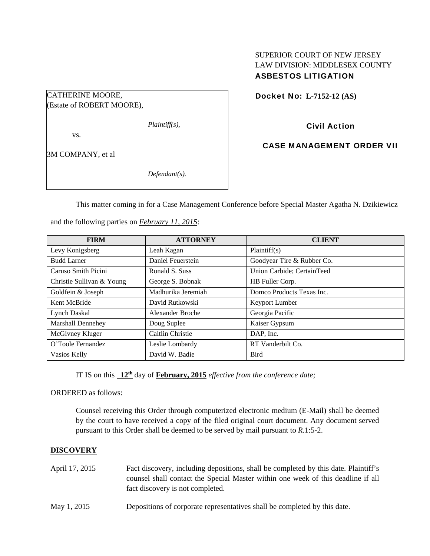# SUPERIOR COURT OF NEW JERSEY LAW DIVISION: MIDDLESEX COUNTY ASBESTOS LITIGATION

Docket No: **L-7152-12 (AS)** 

(Estate of ROBERT MOORE),

CATHERINE MOORE,

*Plaintiff(s),* 

vs.

3M COMPANY, et al

*Defendant(s).* 

Civil Action

CASE MANAGEMENT ORDER VII

This matter coming in for a Case Management Conference before Special Master Agatha N. Dzikiewicz

and the following parties on *February 11, 2015*:

| <b>FIRM</b>               | <b>ATTORNEY</b>         | <b>CLIENT</b>              |
|---------------------------|-------------------------|----------------------------|
| Levy Konigsberg           | Leah Kagan              | Plaintiff(s)               |
| <b>Budd Larner</b>        | Daniel Feuerstein       | Goodyear Tire & Rubber Co. |
| Caruso Smith Picini       | Ronald S. Suss          | Union Carbide; CertainTeed |
| Christie Sullivan & Young | George S. Bobnak        | HB Fuller Corp.            |
| Goldfein & Joseph         | Madhurika Jeremiah      | Domco Products Texas Inc.  |
| Kent McBride              | David Rutkowski         | Keyport Lumber             |
| <b>Lynch Daskal</b>       | <b>Alexander Broche</b> | Georgia Pacific            |
| Marshall Dennehey         | Doug Suplee             | Kaiser Gypsum              |
| McGivney Kluger           | Caitlin Christie        | DAP, Inc.                  |
| O'Toole Fernandez         | Leslie Lombardy         | RT Vanderbilt Co.          |
| Vasios Kelly              | David W. Badie          | <b>Bird</b>                |

IT IS on this **12th** day of **February, 2015** *effective from the conference date;*

ORDERED as follows:

Counsel receiving this Order through computerized electronic medium (E-Mail) shall be deemed by the court to have received a copy of the filed original court document. Any document served pursuant to this Order shall be deemed to be served by mail pursuant to *R*.1:5-2.

# **DISCOVERY**

- April 17, 2015 Fact discovery, including depositions, shall be completed by this date. Plaintiff's counsel shall contact the Special Master within one week of this deadline if all fact discovery is not completed.
- May 1, 2015 Depositions of corporate representatives shall be completed by this date.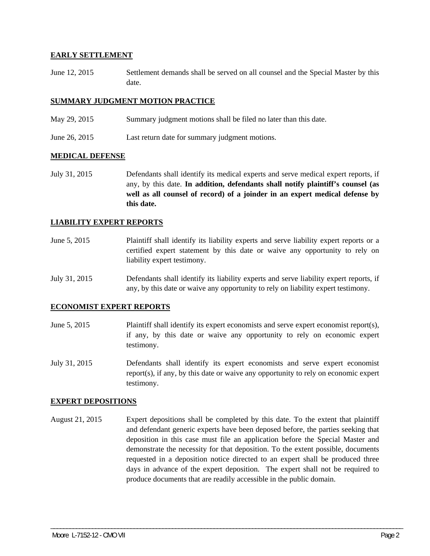## **EARLY SETTLEMENT**

June 12, 2015 Settlement demands shall be served on all counsel and the Special Master by this date.

## **SUMMARY JUDGMENT MOTION PRACTICE**

- May 29, 2015 Summary judgment motions shall be filed no later than this date.
- June 26, 2015 Last return date for summary judgment motions.

### **MEDICAL DEFENSE**

July 31, 2015 Defendants shall identify its medical experts and serve medical expert reports, if any, by this date. **In addition, defendants shall notify plaintiff's counsel (as well as all counsel of record) of a joinder in an expert medical defense by this date.** 

## **LIABILITY EXPERT REPORTS**

- June 5, 2015 Plaintiff shall identify its liability experts and serve liability expert reports or a certified expert statement by this date or waive any opportunity to rely on liability expert testimony.
- July 31, 2015 Defendants shall identify its liability experts and serve liability expert reports, if any, by this date or waive any opportunity to rely on liability expert testimony.

### **ECONOMIST EXPERT REPORTS**

- June 5, 2015 Plaintiff shall identify its expert economists and serve expert economist report(s), if any, by this date or waive any opportunity to rely on economic expert testimony.
- July 31, 2015 Defendants shall identify its expert economists and serve expert economist report(s), if any, by this date or waive any opportunity to rely on economic expert testimony.

### **EXPERT DEPOSITIONS**

August 21, 2015 Expert depositions shall be completed by this date. To the extent that plaintiff and defendant generic experts have been deposed before, the parties seeking that deposition in this case must file an application before the Special Master and demonstrate the necessity for that deposition. To the extent possible, documents requested in a deposition notice directed to an expert shall be produced three days in advance of the expert deposition. The expert shall not be required to produce documents that are readily accessible in the public domain.

\_\_\_\_\_\_\_\_\_\_\_\_\_\_\_\_\_\_\_\_\_\_\_\_\_\_\_\_\_\_\_\_\_\_\_\_\_\_\_\_\_\_\_\_\_\_\_\_\_\_\_\_\_\_\_\_\_\_\_\_\_\_\_\_\_\_\_\_\_\_\_\_\_\_\_\_\_\_\_\_\_\_\_\_\_\_\_\_\_\_\_\_\_\_\_\_\_\_\_\_\_\_\_\_\_\_\_\_\_\_